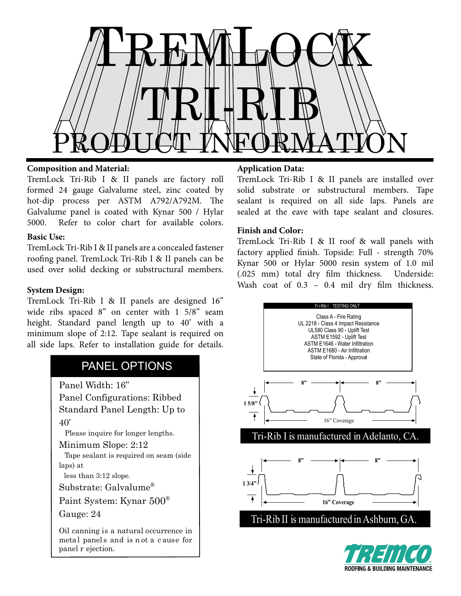

## **Composition and Material:**

TremLock Tri-Rib I & II panels are factory roll formed 24 gauge Galvalume steel, zinc coated by hot-dip process per ASTM A792/A792M. The Galvalume panel is coated with Kynar 500 / Hylar 5000. Refer to color chart for available colors.

## **Basic Use:**

TremLock Tri-Rib I & II panels are a concealed fastener roofing panel. TremLock Tri-Rib I & II panels can be used over solid decking or substructural members.

# **System Design:**

TremLock Tri-Rib I & II panels are designed 16" wide ribs spaced 8" on center with 1 5/8" seam height. Standard panel length up to 40' with a minimum slope of 2:12. Tape sealant is required on all side laps. Refer to installation guide for details.

# PANEL OPTIONS

Panel Width: 16" Panel Configurations: Ribbed

Standard Panel Length: Up to 40'

Please inquire for longer lengths.

Minimum Slope: 2:12

 Tape sealant is required on seam (side laps) at

less than 3:12 slope.

Substrate: Galvalume®

Paint System: Kynar 500®

Gauge: 24

Oil canning is a natural occurrence in metal panel s and is n ot a c ause for panel r ejection.

## **Application Data:**

TremLock Tri-Rib I & II panels are installed over solid substrate or substructural members. Tape sealant is required on all side laps. Panels are sealed at the eave with tape sealant and closures.

## **Finish and Color:**

TremLock Tri-Rib I & II roof & wall panels with factory applied finish. Topside: Full - strength 70% Kynar 500 or Hylar 5000 resin system of 1.0 mil (.025 mm) total dry film thickness. Underside: Wash coat of  $0.3 - 0.4$  mil dry film thickness.